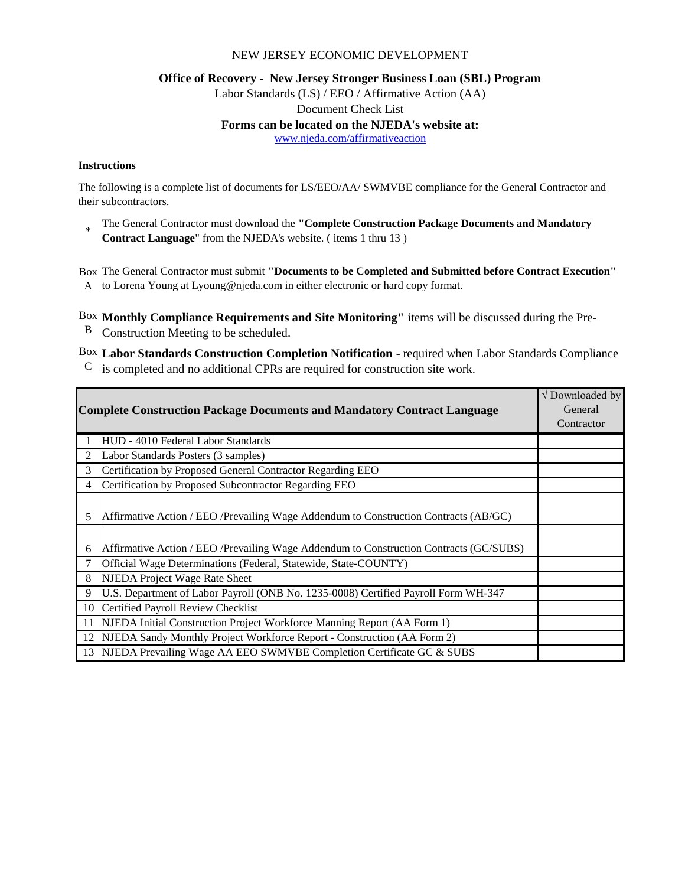### NEW JERSEY ECONOMIC DEVELOPMENT

#### **Office of Recovery - New Jersey Stronger Business Loan (SBL) Program**

Labor Standards (LS) / EEO / Affirmative Action (AA)

Document Check List

#### **Forms can be located on the NJEDA's website at:**

www.njeda.com/affirmativeaction

#### **Instructions**

The following is a complete list of documents for LS/EEO/AA/ SWMVBE compliance for the General Contractor and their subcontractors.

\* The General Contractor must download the **"Complete Construction Package Documents and Mandatory Contract Language**" from the NJEDA's website. ( items 1 thru 13 )

Box The General Contractor must submit **"Documents to be Completed and Submitted before Contract Execution"** 

A to Lorena Young at Lyoung@njeda.com in either electronic or hard copy format.

Box **Monthly Compliance Requirements and Site Monitoring"** items will be discussed during the Pre-

B Construction Meeting to be scheduled.

Box **Labor Standards Construction Completion Notification** - required when Labor Standards Compliance  $\rm{C}$  is completed and no additional CPRs are required for construction site work.

| <b>Complete Construction Package Documents and Mandatory Contract Language</b> |                                                                                         | $\sqrt{}$ Downloaded by<br>General<br>Contractor |
|--------------------------------------------------------------------------------|-----------------------------------------------------------------------------------------|--------------------------------------------------|
|                                                                                | HUD - 4010 Federal Labor Standards                                                      |                                                  |
| 2                                                                              | Labor Standards Posters (3 samples)                                                     |                                                  |
| 3                                                                              | Certification by Proposed General Contractor Regarding EEO                              |                                                  |
| 4                                                                              | Certification by Proposed Subcontractor Regarding EEO                                   |                                                  |
| 5                                                                              | Affirmative Action / EEO /Prevailing Wage Addendum to Construction Contracts (AB/GC)    |                                                  |
| 6                                                                              | Affirmative Action / EEO / Prevailing Wage Addendum to Construction Contracts (GC/SUBS) |                                                  |
|                                                                                | Official Wage Determinations (Federal, Statewide, State-COUNTY)                         |                                                  |
| 8                                                                              | NJEDA Project Wage Rate Sheet                                                           |                                                  |
| 9                                                                              | U.S. Department of Labor Payroll (ONB No. 1235-0008) Certified Payroll Form WH-347      |                                                  |
| 10                                                                             | Certified Payroll Review Checklist                                                      |                                                  |
| 11                                                                             | NJEDA Initial Construction Project Workforce Manning Report (AA Form 1)                 |                                                  |
| 12                                                                             | NJEDA Sandy Monthly Project Workforce Report - Construction (AA Form 2)                 |                                                  |
| 13                                                                             | NJEDA Prevailing Wage AA EEO SWMVBE Completion Certificate GC & SUBS                    |                                                  |